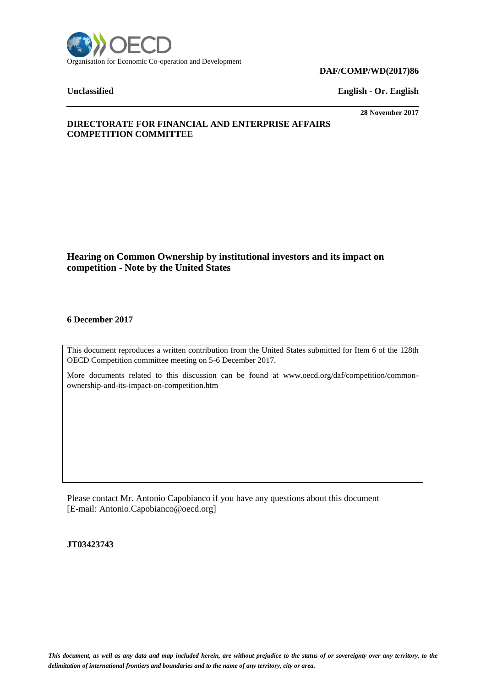

#### **DAF/COMP/WD(2017)86**

**Unclassified English - Or. English**

**28 November 2017**

# **DIRECTORATE FOR FINANCIAL AND ENTERPRISE AFFAIRS COMPETITION COMMITTEE**

# **Hearing on Common Ownership by institutional investors and its impact on competition - Note by the United States**

# **6 December 2017**

This document reproduces a written contribution from the United States submitted for Item 6 of the 128th OECD Competition committee meeting on 5-6 December 2017.

More documents related to this discussion can be found at www.oecd.org/daf/competition/commonownership-and-its-impact-on-competition.htm

Please contact Mr. Antonio Capobianco if you have any questions about this document [E-mail: Antonio.Capobianco@oecd.org]

**JT03423743**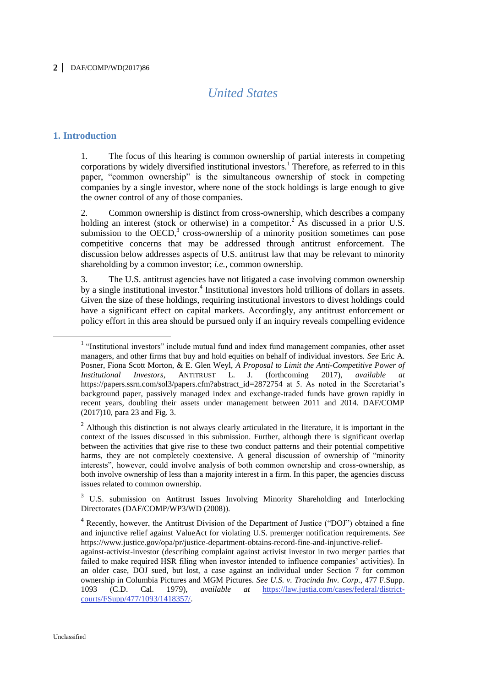# *United States*

### **1. Introduction**

 $\overline{a}$ 

1. The focus of this hearing is common ownership of partial interests in competing corporations by widely diversified institutional investors.<sup>1</sup> Therefore, as referred to in this paper, "common ownership" is the simultaneous ownership of stock in competing companies by a single investor, where none of the stock holdings is large enough to give the owner control of any of those companies.

2. Common ownership is distinct from cross-ownership, which describes a company holding an interest (stock or otherwise) in a competitor.<sup>2</sup> As discussed in a prior U.S. submission to the OECD, $3$  cross-ownership of a minority position sometimes can pose competitive concerns that may be addressed through antitrust enforcement. The discussion below addresses aspects of U.S. antitrust law that may be relevant to minority shareholding by a common investor; *i.e.*, common ownership.

3. The U.S. antitrust agencies have not litigated a case involving common ownership by a single institutional investor.<sup>4</sup> Institutional investors hold trillions of dollars in assets. Given the size of these holdings, requiring institutional investors to divest holdings could have a significant effect on capital markets. Accordingly, any antitrust enforcement or policy effort in this area should be pursued only if an inquiry reveals compelling evidence

<sup>&</sup>lt;sup>1</sup> "Institutional investors" include mutual fund and index fund management companies, other asset managers, and other firms that buy and hold equities on behalf of individual investors. *See* Eric A. Posner, Fiona Scott Morton, & E. Glen Weyl, *A Proposal to Limit the Anti-Competitive Power of Institutional Investors*, ANTITRUST L. J. (forthcoming https://papers.ssrn.com/sol3/papers.cfm?abstract\_id=2872754 at 5. As noted in the Secretariat's background paper, passively managed index and exchange-traded funds have grown rapidly in recent years, doubling their assets under management between 2011 and 2014. DAF/COMP (2017)10, para 23 and Fig. 3.

<sup>&</sup>lt;sup>2</sup> Although this distinction is not always clearly articulated in the literature, it is important in the context of the issues discussed in this submission. Further, although there is significant overlap between the activities that give rise to these two conduct patterns and their potential competitive harms, they are not completely coextensive. A general discussion of ownership of "minority interests", however, could involve analysis of both common ownership and cross-ownership, as both involve ownership of less than a majority interest in a firm. In this paper, the agencies discuss issues related to common ownership.

<sup>&</sup>lt;sup>3</sup> U.S. submission on Antitrust Issues Involving Minority Shareholding and Interlocking Directorates (DAF/COMP/WP3/WD (2008)).

<sup>&</sup>lt;sup>4</sup> Recently, however, the Antitrust Division of the Department of Justice ("DOJ") obtained a fine and injunctive relief against ValueAct for violating U.S. premerger notification requirements. *See*  https://www.justice.gov/opa/pr/justice-department-obtains-record-fine-and-injunctive-relief-

against-activist-investor (describing complaint against activist investor in two merger parties that failed to make required HSR filing when investor intended to influence companies' activities). In an older case, DOJ sued, but lost, a case against an individual under Section 7 for common ownership in Columbia Pictures and MGM Pictures. *See U.S. v. Tracinda Inv. Corp.,* 477 F.Supp. 1093 (C.D. Cal. 1979), *available at* [https://law.justia.com/cases/federal/district](https://law.justia.com/cases/federal/district-courts/FSupp/477/1093/1418357/)[courts/FSupp/477/1093/1418357/.](https://law.justia.com/cases/federal/district-courts/FSupp/477/1093/1418357/)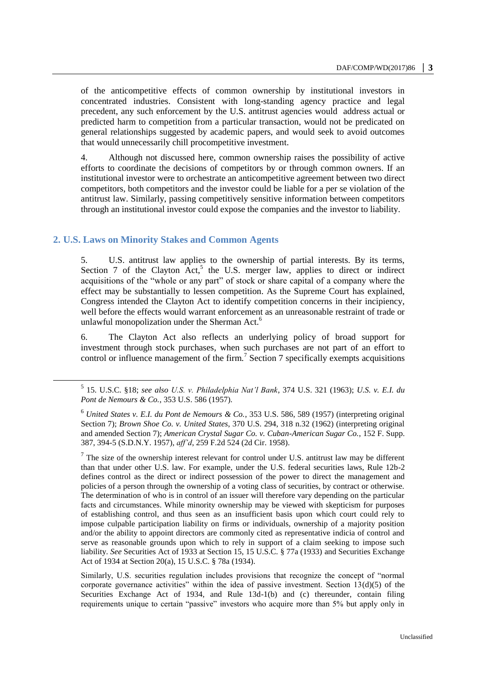of the anticompetitive effects of common ownership by institutional investors in concentrated industries. Consistent with long-standing agency practice and legal precedent, any such enforcement by the U.S. antitrust agencies would address actual or predicted harm to competition from a particular transaction, would not be predicated on general relationships suggested by academic papers, and would seek to avoid outcomes that would unnecessarily chill procompetitive investment.

4. Although not discussed here, common ownership raises the possibility of active efforts to coordinate the decisions of competitors by or through common owners. If an institutional investor were to orchestrate an anticompetitive agreement between two direct competitors, both competitors and the investor could be liable for a per se violation of the antitrust law. Similarly, passing competitively sensitive information between competitors through an institutional investor could expose the companies and the investor to liability.

#### **2. U.S. Laws on Minority Stakes and Common Agents**

 $\overline{a}$ 

5. U.S. antitrust law applies to the ownership of partial interests. By its terms, Section 7 of the Clayton Act,<sup>5</sup> the U.S. merger law, applies to direct or indirect acquisitions of the "whole or any part" of stock or share capital of a company where the effect may be substantially to lessen competition. As the Supreme Court has explained, Congress intended the Clayton Act to identify competition concerns in their incipiency, well before the effects would warrant enforcement as an unreasonable restraint of trade or unlawful monopolization under the Sherman Act.<sup>6</sup>

6. The Clayton Act also reflects an underlying policy of broad support for investment through stock purchases, when such purchases are not part of an effort to control or influence management of the firm.<sup>7</sup> Section 7 specifically exempts acquisitions

<sup>5</sup> 15. U.S.C. §18; *see also U.S. v. Philadelphia Nat'l Bank*, 374 U.S. 321 (1963); *U.S. v. E.I. du Pont de Nemours & Co.*, 353 U.S. 586 (1957).

<sup>6</sup> *United States v. E.I. du Pont de Nemours & Co.*, 353 U.S. 586, 589 (1957) (interpreting original Section 7); *Brown Shoe Co. v. United States*, 370 U.S. 294, 318 n.32 (1962) (interpreting original and amended Section 7); *American Crystal Sugar Co. v. Cuban-American Sugar Co.*, 152 F. Supp. 387, 394-5 (S.D.N.Y. 1957), *aff'd*, 259 F.2d 524 (2d Cir. 1958).

 $<sup>7</sup>$  The size of the ownership interest relevant for control under U.S. antitrust law may be different</sup> than that under other U.S. law. For example, under the U.S. federal securities laws, Rule 12b-2 defines control as the direct or indirect possession of the power to direct the management and policies of a person through the ownership of a voting class of securities, by contract or otherwise. The determination of who is in control of an issuer will therefore vary depending on the particular facts and circumstances. While minority ownership may be viewed with skepticism for purposes of establishing control, and thus seen as an insufficient basis upon which court could rely to impose culpable participation liability on firms or individuals, ownership of a majority position and/or the ability to appoint directors are commonly cited as representative indicia of control and serve as reasonable grounds upon which to rely in support of a claim seeking to impose such liability. *See* Securities Act of 1933 at Section 15, 15 U.S.C. § 77a (1933) and Securities Exchange Act of 1934 at Section 20(a), 15 U.S.C. § 78a (1934).

Similarly, U.S. securities regulation includes provisions that recognize the concept of "normal corporate governance activities" within the idea of passive investment. Section  $13(d)(5)$  of the Securities Exchange Act of 1934, and Rule 13d-1(b) and (c) thereunder, contain filing requirements unique to certain "passive" investors who acquire more than 5% but apply only in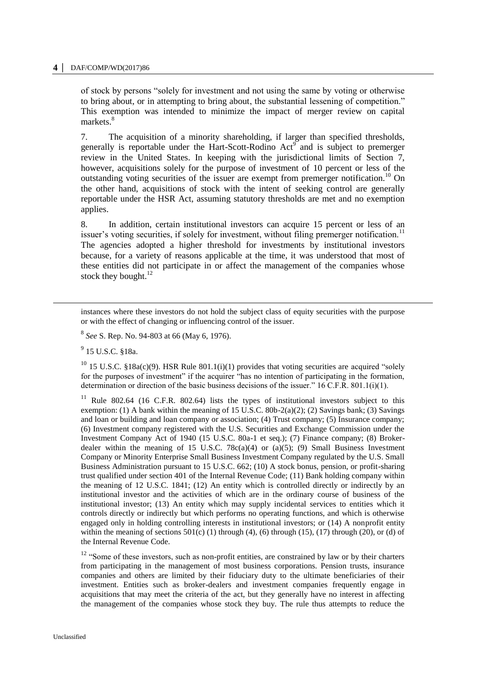#### **4 │** DAF/COMP/WD(2017)86

of stock by persons "solely for investment and not using the same by voting or otherwise to bring about, or in attempting to bring about, the substantial lessening of competition." This exemption was intended to minimize the impact of merger review on capital markets.<sup>8</sup>

7. The acquisition of a minority shareholding, if larger than specified thresholds, generally is reportable under the Hart-Scott-Rodino Act<sup>9</sup> and is subject to premerger review in the United States. In keeping with the jurisdictional limits of Section 7, however, acquisitions solely for the purpose of investment of 10 percent or less of the outstanding voting securities of the issuer are exempt from premerger notification.<sup>10</sup> On the other hand, acquisitions of stock with the intent of seeking control are generally reportable under the HSR Act, assuming statutory thresholds are met and no exemption applies.

8. In addition, certain institutional investors can acquire 15 percent or less of an issuer's voting securities, if solely for investment, without filing premerger notification.<sup>11</sup> The agencies adopted a higher threshold for investments by institutional investors because, for a variety of reasons applicable at the time, it was understood that most of these entities did not participate in or affect the management of the companies whose stock they bought. $^{12}$ 

instances where these investors do not hold the subject class of equity securities with the purpose or with the effect of changing or influencing control of the issuer.

8 *See* S. Rep. No. 94-803 at 66 (May 6, 1976).

<sup>9</sup> 15 U.S.C. §18a.

-

<sup>10</sup> 15 U.S.C. §18a(c)(9). HSR Rule 801.1(i)(1) provides that voting securities are acquired "solely for the purposes of investment" if the acquirer "has no intention of participating in the formation, determination or direction of the basic business decisions of the issuer." 16 C.F.R. 801.1(i)(1).

<sup>11</sup> Rule 802.64 (16 C.F.R. 802.64) lists the types of institutional investors subject to this exemption: (1) A bank within the meaning of 15 U.S.C. 80b-2(a)(2); (2) Savings bank; (3) Savings and loan or building and loan company or association; (4) Trust company; (5) Insurance company; (6) Investment company registered with the U.S. Securities and Exchange Commission under the Investment Company Act of 1940 (15 U.S.C. 80a-1 et seq.); (7) Finance company; (8) Brokerdealer within the meaning of 15 U.S.C. 78 $c(a)(4)$  or (a)(5); (9) Small Business Investment Company or Minority Enterprise Small Business Investment Company regulated by the U.S. Small Business Administration pursuant to 15 U.S.C. 662; (10) A stock bonus, pension, or profit-sharing trust qualified under section 401 of the Internal Revenue Code; (11) Bank holding company within the meaning of 12 U.S.C. 1841; (12) An entity which is controlled directly or indirectly by an institutional investor and the activities of which are in the ordinary course of business of the institutional investor; (13) An entity which may supply incidental services to entities which it controls directly or indirectly but which performs no operating functions, and which is otherwise engaged only in holding controlling interests in institutional investors; or (14) A nonprofit entity within the meaning of sections  $501(c)$  (1) through (4), (6) through (15), (17) through (20), or (d) of the Internal Revenue Code.

 $12$  "Some of these investors, such as non-profit entities, are constrained by law or by their charters from participating in the management of most business corporations. Pension trusts, insurance companies and others are limited by their fiduciary duty to the ultimate beneficiaries of their investment. Entities such as broker-dealers and investment companies frequently engage in acquisitions that may meet the criteria of the act, but they generally have no interest in affecting the management of the companies whose stock they buy. The rule thus attempts to reduce the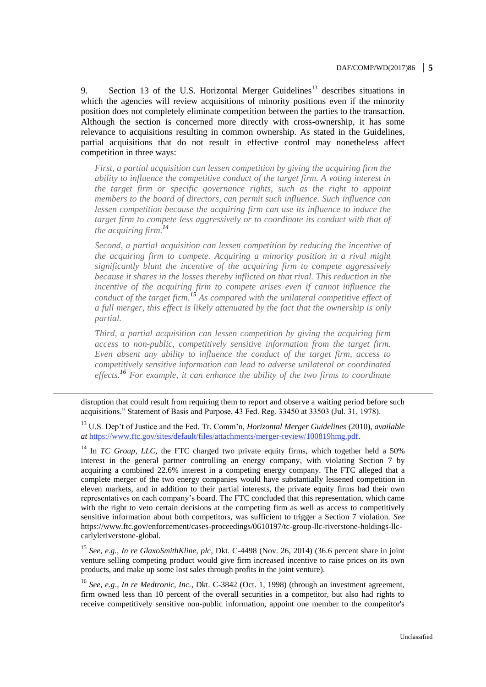9. Section 13 of the U.S. Horizontal Merger Guidelines<sup>13</sup> describes situations in which the agencies will review acquisitions of minority positions even if the minority position does not completely eliminate competition between the parties to the transaction. Although the section is concerned more directly with cross-ownership, it has some relevance to acquisitions resulting in common ownership. As stated in the Guidelines, partial acquisitions that do not result in effective control may nonetheless affect competition in three ways:

*First, a partial acquisition can lessen competition by giving the acquiring firm the ability to influence the competitive conduct of the target firm. A voting interest in the target firm or specific governance rights, such as the right to appoint members to the board of directors, can permit such influence. Such influence can lessen competition because the acquiring firm can use its influence to induce the target firm to compete less aggressively or to coordinate its conduct with that of the acquiring firm.<sup>14</sup>*

*Second, a partial acquisition can lessen competition by reducing the incentive of the acquiring firm to compete. Acquiring a minority position in a rival might significantly blunt the incentive of the acquiring firm to compete aggressively because it shares in the losses thereby inflicted on that rival. This reduction in the incentive of the acquiring firm to compete arises even if cannot influence the conduct of the target firm.<sup>15</sup> As compared with the unilateral competitive effect of a full merger, this effect is likely attenuated by the fact that the ownership is only partial.*

*Third, a partial acquisition can lessen competition by giving the acquiring firm access to non-public, competitively sensitive information from the target firm. Even absent any ability to influence the conduct of the target firm, access to competitively sensitive information can lead to adverse unilateral or coordinated effects.<sup>16</sup> For example, it can enhance the ability of the two firms to coordinate* 

disruption that could result from requiring them to report and observe a waiting period before such acquisitions." Statement of Basis and Purpose, 43 Fed. Reg. 33450 at 33503 (Jul. 31, 1978).

<u>.</u>

<sup>13</sup> U.S. Dep't of Justice and the Fed. Tr. Comm'n, *Horizontal Merger Guidelines* (2010), *available at* [https://www.ftc.gov/sites/default/files/attachments/merger-review/100819hmg.pdf.](https://www.ftc.gov/sites/default/files/attachments/merger-review/100819hmg.pdf)

<sup>14</sup> In *TC Group*, *LLC,* the FTC charged two private equity firms, which together held a 50% interest in the general partner controlling an energy company, with violating Section 7 by acquiring a combined 22.6% interest in a competing energy company. The FTC alleged that a complete merger of the two energy companies would have substantially lessened competition in eleven markets, and in addition to their partial interests, the private equity firms had their own representatives on each company's board. The FTC concluded that this representation, which came with the right to veto certain decisions at the competing firm as well as access to competitively sensitive information about both competitors, was sufficient to trigger a Section 7 violation. *See*  https://www.ftc.gov/enforcement/cases-proceedings/0610197/tc-group-llc-riverstone-holdings-llccarlyleriverstone-global*.*

<sup>15</sup> *See, e.g., In re GlaxoSmithKline, plc*, Dkt. C-4498 (Nov. 26, 2014) (36.6 percent share in joint venture selling competing product would give firm increased incentive to raise prices on its own products, and make up some lost sales through profits in the joint venture).

<sup>16</sup> *See, e.g*., *In re Medtronic, Inc.*, Dkt. C-3842 (Oct. 1, 1998) (through an investment agreement, firm owned less than 10 percent of the overall securities in a competitor, but also had rights to receive competitively sensitive non-public information, appoint one member to the competitor's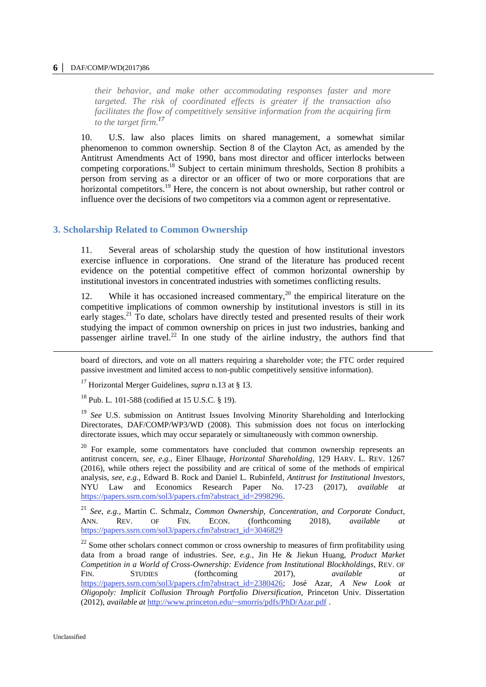#### **6 │** DAF/COMP/WD(2017)86

*their behavior, and make other accommodating responses faster and more targeted. The risk of coordinated effects is greater if the transaction also facilitates the flow of competitively sensitive information from the acquiring firm to the target firm.<sup>17</sup>*

10. U.S. law also places limits on shared management, a somewhat similar phenomenon to common ownership. Section 8 of the Clayton Act, as amended by the Antitrust Amendments Act of 1990, bans most director and officer interlocks between competing corporations.<sup>18</sup> Subject to certain minimum thresholds, Section 8 prohibits a person from serving as a director or an officer of two or more corporations that are horizontal competitors.<sup>19</sup> Here, the concern is not about ownership, but rather control or influence over the decisions of two competitors via a common agent or representative.

### **3. Scholarship Related to Common Ownership**

11. Several areas of scholarship study the question of how institutional investors exercise influence in corporations. One strand of the literature has produced recent evidence on the potential competitive effect of common horizontal ownership by institutional investors in concentrated industries with sometimes conflicting results.

12. While it has occasioned increased commentary,<sup>20</sup> the empirical literature on the competitive implications of common ownership by institutional investors is still in its early stages.<sup>21</sup> To date, scholars have directly tested and presented results of their work studying the impact of common ownership on prices in just two industries, banking and passenger airline travel.<sup>22</sup> In one study of the airline industry, the authors find that

board of directors, and vote on all matters requiring a shareholder vote; the FTC order required passive investment and limited access to non-public competitively sensitive information).

<sup>17</sup> Horizontal Merger Guidelines, *supra* n.13 at § 13.

<sup>18</sup> Pub. L. 101-588 (codified at 15 U.S.C. § 19).

<sup>19</sup> *See* U.S. submission on Antitrust Issues Involving Minority Shareholding and Interlocking Directorates, DAF/COMP/WP3/WD (2008). This submission does not focus on interlocking directorate issues, which may occur separately or simultaneously with common ownership.

<sup>20</sup> For example, some commentators have concluded that common ownership represents an antitrust concern, *see, e.g.,* Einer Elhauge, *Horizontal Shareholding*, 129 HARV. L. REV. 1267 (2016), while others reject the possibility and are critical of some of the methods of empirical analysis, *see, e.g.,* Edward B. Rock and Daniel L. Rubinfeld*, Antitrust for Institutional Investors*, NYU Law and Economics Research Paper No. 17-23 (2017), *available at* [https://papers.ssrn.com/sol3/papers.cfm?abstract\\_id=2998296.](https://papers.ssrn.com/sol3/papers.cfm?abstract_id=2998296)

<sup>21</sup> *See, e.g.*, Martin C. Schmalz, *Common Ownership, Concentration, and Corporate Conduct*, ANN. REV. OF FIN. ECON. (forthcoming 2018), *available at*  [https://papers.ssrn.com/sol3/papers.cfm?abstract\\_id=3046829](https://papers.ssrn.com/sol3/papers.cfm?abstract_id=3046829)

 $22$  Some other scholars connect common or cross ownership to measures of firm profitability using data from a broad range of industries. S*ee, e.g.,* Jin He & Jiekun Huang, *Product Market Competition in a World of Cross-Ownership: Evidence from Institutional Blockholdings*, REV. OF FIN. STUDIES (forthcoming 2017), *available at*  [https://papers.ssrn.com/sol3/papers.cfm?abstract\\_id=2380426;](https://papers.ssrn.com/sol3/papers.cfm?abstract_id=2380426) José Azar, *A New Look at Oligopoly: Implicit Collusion Through Portfolio Diversification*, Princeton Univ. Dissertation (2012), *available at* <http://www.princeton.edu/~smorris/pdfs/PhD/Azar.pdf> .

-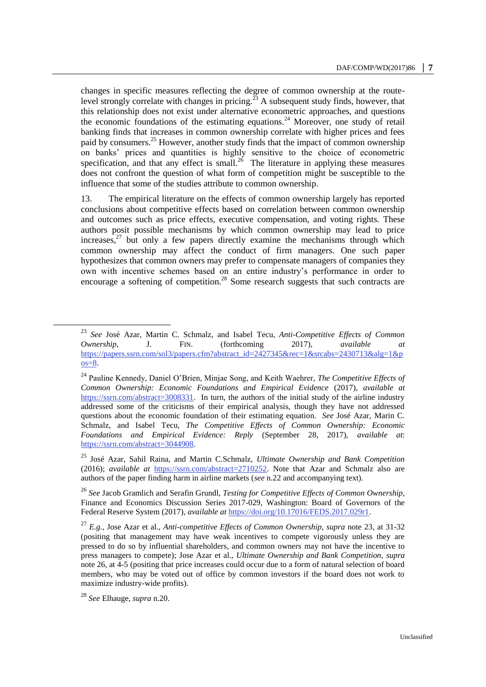changes in specific measures reflecting the degree of common ownership at the routelevel strongly correlate with changes in pricing.<sup>23</sup> A subsequent study finds, however, that this relationship does not exist under alternative econometric approaches, and questions the economic foundations of the estimating equations.<sup>24</sup> Moreover, one study of retail banking finds that increases in common ownership correlate with higher prices and fees paid by consumers.<sup>25</sup> However, another study finds that the impact of common ownership on banks' prices and quantities is highly sensitive to the choice of econometric specification, and that any effect is small.<sup>26</sup> The literature in applying these measures does not confront the question of what form of competition might be susceptible to the influence that some of the studies attribute to common ownership.

13. The empirical literature on the effects of common ownership largely has reported conclusions about competitive effects based on correlation between common ownership and outcomes such as price effects, executive compensation, and voting rights. These authors posit possible mechanisms by which common ownership may lead to price increases, $27$  but only a few papers directly examine the mechanisms through which common ownership may affect the conduct of firm managers. One such paper hypothesizes that common owners may prefer to compensate managers of companies they own with incentive schemes based on an entire industry's performance in order to encourage a softening of competition.<sup>28</sup> Some research suggests that such contracts are

 $\overline{a}$ 

<sup>23</sup> *See* José Azar, Martin C. Schmalz, and Isabel Tecu, *Anti-Competitive Effects of Common Ownership*, J. FIN. (forthcoming 2017), *available at* [https://papers.ssrn.com/sol3/papers.cfm?abstract\\_id=2427345&rec=1&srcabs=2430713&alg=1&p](https://papers.ssrn.com/sol3/papers.cfm?abstract_id=2427345&rec=1&srcabs=2430713&alg=1&pos=8) [os=8.](https://papers.ssrn.com/sol3/papers.cfm?abstract_id=2427345&rec=1&srcabs=2430713&alg=1&pos=8)

<sup>24</sup> Pauline Kennedy, Daniel O'Brien, Minjae Song, and Keith Waehrer, *The Competitive Effects of Common Ownership: Economic Foundations and Empirical Evidence* (2017), *available at*  [https://ssrn.com/abstract=3008331.](https://ssrn.com/abstract=3008331) In turn, the authors of the initial study of the airline industry addressed some of the criticisms of their empirical analysis, though they have not addressed questions about the economic foundation of their estimating equation. *See* José Azar, Marin C. Schmalz, and Isabel Tecu, *The Competitive Effects of Common Ownership: Economic Foundations and Empirical Evidence: Reply* (September 28, 2017), *available at*: [https://ssrn.com/abstract=3044908.](https://ssrn.com/abstract=3044908) 

<sup>25</sup> José Azar, Sahil Raina, and Martin C.Schmalz, *Ultimate Ownership and Bank Competition* (2016); *available at* [https://ssrn.com/abstract=2710252.](https://ssrn.com/abstract=2710252) Note that Azar and Schmalz also are authors of the paper finding harm in airline markets (*see* n.22 and accompanying text).

<sup>26</sup> *See* Jacob Gramlich and Serafin Grundl, *Testing for Competitive Effects of Common Ownership,* Finance and Economics Discussion Series 2017-029, Washington: Board of Governors of the Federal Reserve System (2017), *available at* [https://doi.org/10.17016/FEDS.2017.029r1.](https://doi.org/10.17016/FEDS.2017.029r1)

<sup>27</sup> *E.g.*, Jose Azar et al., *Anti-competitive Effects of Common Ownership*, *supra* note 23, at 31-32 (positing that management may have weak incentives to compete vigorously unless they are pressed to do so by influential shareholders, and common owners may not have the incentive to press managers to compete); Jose Azar et al., *Ultimate Ownership and Bank Competition*, *supra*  note 26, at 4-5 (positing that price increases could occur due to a form of natural selection of board members, who may be voted out of office by common investors if the board does not work to maximize industry-wide profits).

<sup>28</sup> *See* Elhauge, *supra* n.20.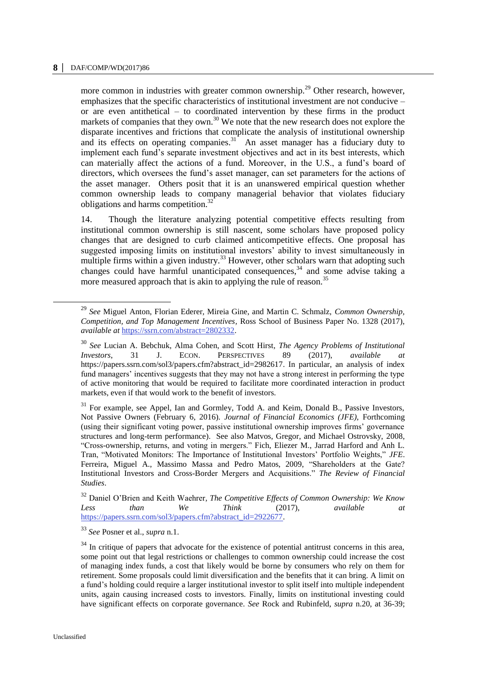more common in industries with greater common ownership.<sup>29</sup> Other research, however, emphasizes that the specific characteristics of institutional investment are not conducive – or are even antithetical – to coordinated intervention by these firms in the product markets of companies that they own.<sup>30</sup> We note that the new research does not explore the disparate incentives and frictions that complicate the analysis of institutional ownership and its effects on operating companies.<sup>31</sup> An asset manager has a fiduciary duty to implement each fund's separate investment objectives and act in its best interests, which can materially affect the actions of a fund. Moreover, in the U.S., a fund's board of directors, which oversees the fund's asset manager, can set parameters for the actions of the asset manager. Others posit that it is an unanswered empirical question whether common ownership leads to company managerial behavior that violates fiduciary obligations and harms competition.<sup>32</sup>

14. Though the literature analyzing potential competitive effects resulting from institutional common ownership is still nascent, some scholars have proposed policy changes that are designed to curb claimed anticompetitive effects. One proposal has suggested imposing limits on institutional investors' ability to invest simultaneously in multiple firms within a given industry.<sup>33</sup> However, other scholars warn that adopting such changes could have harmful unanticipated consequences,<sup>34</sup> and some advise taking a more measured approach that is akin to applying the rule of reason.<sup>35</sup>

<sup>33</sup> *See* Posner et al., *supra* n.1.

 $\overline{a}$ 

<sup>29</sup> *See* Miguel Anton, Florian Ederer, Mireia Gine, and Martin C. Schmalz, *Common Ownership, Competition, and Top Management Incentives,* Ross School of Business Paper No. 1328 (2017), *available at* [https://ssrn.com/abstract=2802332.](https://ssrn.com/abstract=2802332) 

<sup>30</sup> *See* Lucian A. Bebchuk, Alma Cohen, and Scott Hirst, *The Agency Problems of Institutional Investors*, 31 J. ECON. PERSPECTIVES 89 (2017), *available at*  https://papers.ssrn.com/sol3/papers.cfm?abstract\_id=2982617. In particular, an analysis of index fund managers' incentives suggests that they may not have a strong interest in performing the type of active monitoring that would be required to facilitate more coordinated interaction in product markets, even if that would work to the benefit of investors.

<sup>&</sup>lt;sup>31</sup> For example, see Appel, Ian and Gormley, Todd A. and Keim, Donald B., Passive Investors, Not Passive Owners (February 6, 2016). *Journal of Financial Economics (JFE),* Forthcoming (using their significant voting power, passive institutional ownership improves firms' governance structures and long-term performance). See also Matvos, Gregor, and Michael Ostrovsky, 2008, "Cross-ownership, returns, and voting in mergers." Fich, Eliezer M., Jarrad Harford and Anh L. Tran, "Motivated Monitors: The Importance of Institutional Investors' Portfolio Weights," *JFE*. Ferreira, Miguel A., Massimo Massa and Pedro Matos, 2009, "Shareholders at the Gate? Institutional Investors and Cross-Border Mergers and Acquisitions." *The Review of Financial Studies*.

<sup>32</sup> Daniel O'Brien and Keith Waehrer*, The Competitive Effects of Common Ownership: We Know Less than We Think* (2017), *available at*  [https://papers.ssrn.com/sol3/papers.cfm?abstract\\_id=2922677.](https://papers.ssrn.com/sol3/papers.cfm?abstract_id=2922677)

 $34$  In critique of papers that advocate for the existence of potential antitrust concerns in this area, some point out that legal restrictions or challenges to common ownership could increase the cost of managing index funds, a cost that likely would be borne by consumers who rely on them for retirement. Some proposals could limit diversification and the benefits that it can bring. A limit on a fund's holding could require a larger institutional investor to split itself into multiple independent units, again causing increased costs to investors. Finally, limits on institutional investing could have significant effects on corporate governance. *See* Rock and Rubinfeld, *supra* n.20, at 36-39;